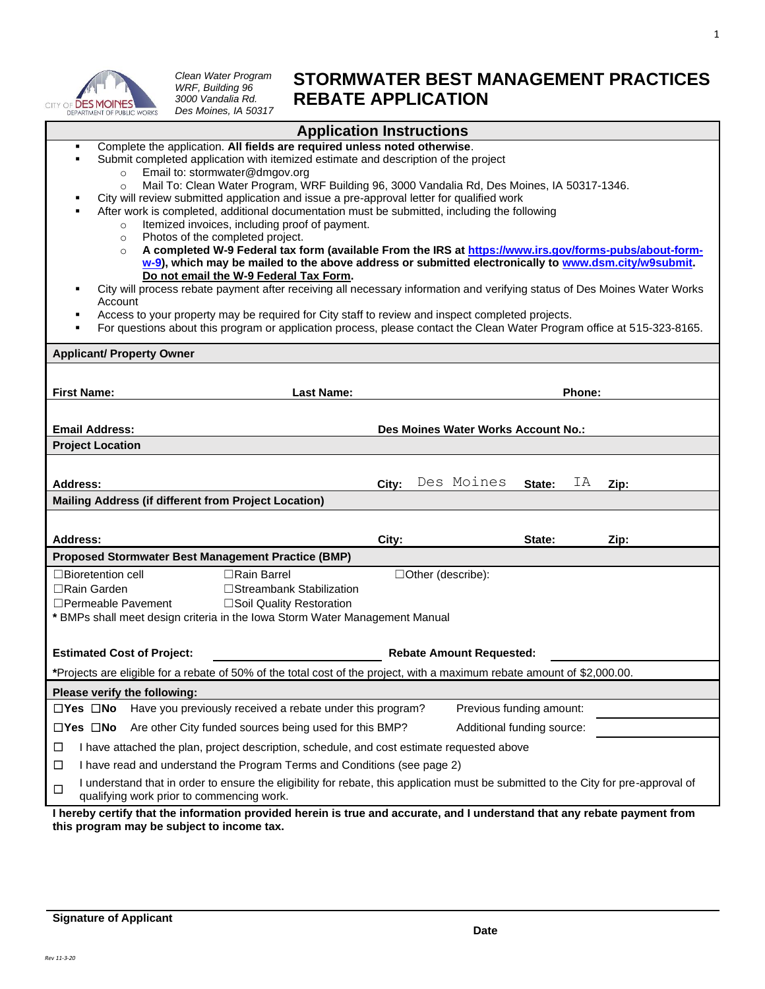

*Clean Water Program WRF, Building 96 3000 Vandalia Rd. Des Moines, IA 50317*

## **STORMWATER BEST MANAGEMENT PRACTICES REBATE APPLICATION**

| <b>Application Instructions</b>                                                                                                                                                                                                                                                                                                                                                                                                                                                                                                                                                                                                                                                                                                                                                                                                                                                                                                                                                                                                                                                                                                                                                                                                                                                                   |                                             |
|---------------------------------------------------------------------------------------------------------------------------------------------------------------------------------------------------------------------------------------------------------------------------------------------------------------------------------------------------------------------------------------------------------------------------------------------------------------------------------------------------------------------------------------------------------------------------------------------------------------------------------------------------------------------------------------------------------------------------------------------------------------------------------------------------------------------------------------------------------------------------------------------------------------------------------------------------------------------------------------------------------------------------------------------------------------------------------------------------------------------------------------------------------------------------------------------------------------------------------------------------------------------------------------------------|---------------------------------------------|
| Complete the application. All fields are required unless noted otherwise.<br>٠<br>Submit completed application with itemized estimate and description of the project<br>Email to: stormwater@dmgov.org<br>$\circ$<br>Mail To: Clean Water Program, WRF Building 96, 3000 Vandalia Rd, Des Moines, IA 50317-1346.<br>$\circ$<br>City will review submitted application and issue a pre-approval letter for qualified work<br>After work is completed, additional documentation must be submitted, including the following<br>Itemized invoices, including proof of payment.<br>$\circ$<br>Photos of the completed project.<br>$\circ$<br>A completed W-9 Federal tax form (available From the IRS at https://www.irs.gov/forms-pubs/about-form-<br>$\circ$<br>w-9), which may be mailed to the above address or submitted electronically to www.dsm.city/w9submit.<br>Do not email the W-9 Federal Tax Form.<br>City will process rebate payment after receiving all necessary information and verifying status of Des Moines Water Works<br>٠<br>Account<br>Access to your property may be required for City staff to review and inspect completed projects.<br>٠<br>For questions about this program or application process, please contact the Clean Water Program office at 515-323-8165.<br>٠ |                                             |
| <b>Applicant/ Property Owner</b>                                                                                                                                                                                                                                                                                                                                                                                                                                                                                                                                                                                                                                                                                                                                                                                                                                                                                                                                                                                                                                                                                                                                                                                                                                                                  |                                             |
| <b>First Name:</b><br><b>Last Name:</b>                                                                                                                                                                                                                                                                                                                                                                                                                                                                                                                                                                                                                                                                                                                                                                                                                                                                                                                                                                                                                                                                                                                                                                                                                                                           | Phone:                                      |
| <b>Email Address:</b>                                                                                                                                                                                                                                                                                                                                                                                                                                                                                                                                                                                                                                                                                                                                                                                                                                                                                                                                                                                                                                                                                                                                                                                                                                                                             | Des Moines Water Works Account No.:         |
| <b>Project Location</b>                                                                                                                                                                                                                                                                                                                                                                                                                                                                                                                                                                                                                                                                                                                                                                                                                                                                                                                                                                                                                                                                                                                                                                                                                                                                           |                                             |
| <b>Address:</b><br>Mailing Address (if different from Project Location)                                                                                                                                                                                                                                                                                                                                                                                                                                                                                                                                                                                                                                                                                                                                                                                                                                                                                                                                                                                                                                                                                                                                                                                                                           | Des Moines<br>ΙA<br>State:<br>City:<br>Zip: |
| <b>Address:</b>                                                                                                                                                                                                                                                                                                                                                                                                                                                                                                                                                                                                                                                                                                                                                                                                                                                                                                                                                                                                                                                                                                                                                                                                                                                                                   | City:<br>State:<br>Zip:                     |
| <b>Proposed Stormwater Best Management Practice (BMP)</b>                                                                                                                                                                                                                                                                                                                                                                                                                                                                                                                                                                                                                                                                                                                                                                                                                                                                                                                                                                                                                                                                                                                                                                                                                                         |                                             |
| $\Box$ Bioretention cell<br>□Rain Barrel<br>$\Box$ Rain Garden<br>□Streambank Stabilization<br>$\Box$ Permeable Pavement<br>□Soil Quality Restoration<br>* BMPs shall meet design criteria in the Iowa Storm Water Management Manual                                                                                                                                                                                                                                                                                                                                                                                                                                                                                                                                                                                                                                                                                                                                                                                                                                                                                                                                                                                                                                                              | □Other (describe):                          |
| <b>Estimated Cost of Project:</b>                                                                                                                                                                                                                                                                                                                                                                                                                                                                                                                                                                                                                                                                                                                                                                                                                                                                                                                                                                                                                                                                                                                                                                                                                                                                 | <b>Rebate Amount Requested:</b>             |
| *Projects are eligible for a rebate of 50% of the total cost of the project, with a maximum rebate amount of \$2,000.00.                                                                                                                                                                                                                                                                                                                                                                                                                                                                                                                                                                                                                                                                                                                                                                                                                                                                                                                                                                                                                                                                                                                                                                          |                                             |
| Please verify the following:                                                                                                                                                                                                                                                                                                                                                                                                                                                                                                                                                                                                                                                                                                                                                                                                                                                                                                                                                                                                                                                                                                                                                                                                                                                                      |                                             |
| $\Box$ Yes $\Box$ No<br>Have you previously received a rebate under this program?                                                                                                                                                                                                                                                                                                                                                                                                                                                                                                                                                                                                                                                                                                                                                                                                                                                                                                                                                                                                                                                                                                                                                                                                                 | Previous funding amount:                    |
| $\Box$ Yes $\Box$ No<br>Are other City funded sources being used for this BMP?                                                                                                                                                                                                                                                                                                                                                                                                                                                                                                                                                                                                                                                                                                                                                                                                                                                                                                                                                                                                                                                                                                                                                                                                                    | Additional funding source:                  |
| I have attached the plan, project description, schedule, and cost estimate requested above<br>ப                                                                                                                                                                                                                                                                                                                                                                                                                                                                                                                                                                                                                                                                                                                                                                                                                                                                                                                                                                                                                                                                                                                                                                                                   |                                             |
| I have read and understand the Program Terms and Conditions (see page 2)<br>□                                                                                                                                                                                                                                                                                                                                                                                                                                                                                                                                                                                                                                                                                                                                                                                                                                                                                                                                                                                                                                                                                                                                                                                                                     |                                             |
| I understand that in order to ensure the eligibility for rebate, this application must be submitted to the City for pre-approval of<br>$\Box$<br>qualifying work prior to commencing work.<br>I haraby cartify that the information provided herein is true and accurate and Lunderstand that any rebate nayment from                                                                                                                                                                                                                                                                                                                                                                                                                                                                                                                                                                                                                                                                                                                                                                                                                                                                                                                                                                             |                                             |

**I hereby certify that the information provided herein is true and accurate, and I understand that any rebate payment from this program may be subject to income tax.**